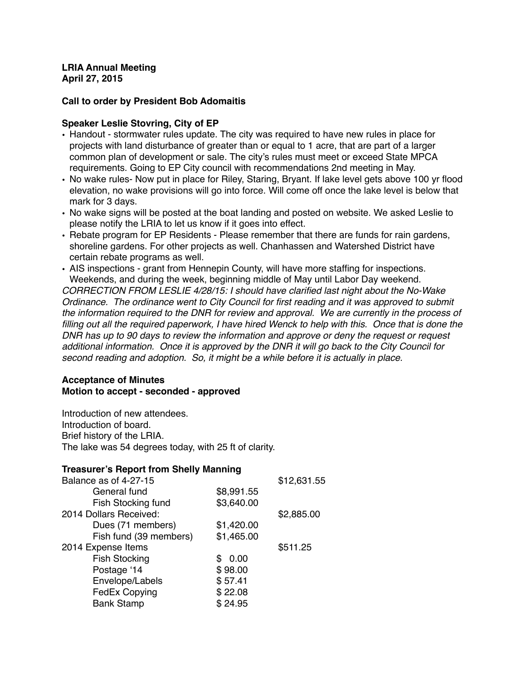#### **LRIA Annual Meeting April 27, 2015**

## **Call to order by President Bob Adomaitis**

### **Speaker Leslie Stovring, City of EP**

- Handout stormwater rules update. The city was required to have new rules in place for projects with land disturbance of greater than or equal to 1 acre, that are part of a larger common plan of development or sale. The city's rules must meet or exceed State MPCA requirements. Going to EP City council with recommendations 2nd meeting in May.
- No wake rules- Now put in place for Riley, Staring, Bryant. If lake level gets above 100 yr flood elevation, no wake provisions will go into force. Will come off once the lake level is below that mark for 3 days.
- No wake signs will be posted at the boat landing and posted on website. We asked Leslie to please notify the LRIA to let us know if it goes into effect.
- Rebate program for EP Residents Please remember that there are funds for rain gardens, shoreline gardens. For other projects as well. Chanhassen and Watershed District have certain rebate programs as well.
- AIS inspections grant from Hennepin County, will have more staffing for inspections. Weekends, and during the week, beginning middle of May until Labor Day weekend. *CORRECTION FROM LESLIE 4/28/15: I should have clarified last night about the No-Wake Ordinance. The ordinance went to City Council for first reading and it was approved to submit the information required to the DNR for review and approval. We are currently in the process of filling out all the required paperwork, I have hired Wenck to help with this. Once that is done the DNR has up to 90 days to review the information and approve or deny the request or request additional information. Once it is approved by the DNR it will go back to the City Council for second reading and adoption. So, it might be a while before it is actually in place.*

## **Acceptance of Minutes Motion to accept - seconded - approved**

Introduction of new attendees. Introduction of board. Brief history of the LRIA. The lake was 54 degrees today, with 25 ft of clarity.

### **Treasurer's Report from Shelly Manning** Balance as of 4-27-15 \$12,631.55 General fund \$8,991.55 Fish Stocking fund \$3,640.00 2014 Dollars Received: \$2,885.00 Dues (71 members) \$1,420.00 Fish fund (39 members) \$1,465.00

Fish Stocking  $$ 0.00$ Postage '14 \$98.00 Envelope/Labels \$57.41 FedEx Copying  $$22.08$ Bank Stamp  $$24.95$ 

2014 Expense Items \$511.25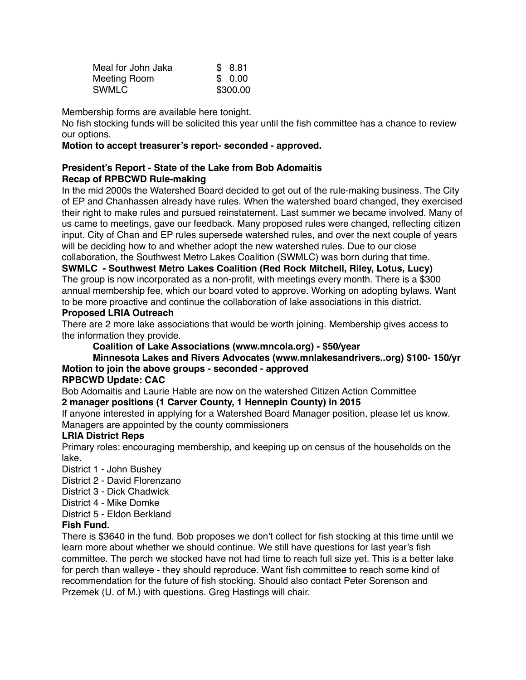| Meal for John Jaka | \$ 8.81  |
|--------------------|----------|
| Meeting Room       | \$ 0.00  |
| <b>SWMLC</b>       | \$300.00 |

Membership forms are available here tonight.

No fish stocking funds will be solicited this year until the fish committee has a chance to review our options.

### **Motion to accept treasurer's report- seconded - approved.**

## **President's Report - State of the Lake from Bob Adomaitis Recap of RPBCWD Rule-making**

In the mid 2000s the Watershed Board decided to get out of the rule-making business. The City of EP and Chanhassen already have rules. When the watershed board changed, they exercised their right to make rules and pursued reinstatement. Last summer we became involved. Many of us came to meetings, gave our feedback. Many proposed rules were changed, reflecting citizen input. City of Chan and EP rules supersede watershed rules, and over the next couple of years will be deciding how to and whether adopt the new watershed rules. Due to our close collaboration, the Southwest Metro Lakes Coalition (SWMLC) was born during that time.

**SWMLC - Southwest Metro Lakes Coalition (Red Rock Mitchell, Riley, Lotus, Lucy)** The group is now incorporated as a non-profit, with meetings every month. There is a \$300 annual membership fee, which our board voted to approve. Working on adopting bylaws. Want to be more proactive and continue the collaboration of lake associations in this district. **Proposed LRIA Outreach**

There are 2 more lake associations that would be worth joining. Membership gives access to the information they provide.

## **Coalition of Lake Associations (www.mncola.org) - \$50/year**

# **Minnesota Lakes and Rivers Advocates (www.mnlakesandrivers..org) \$100- 150/yr Motion to join the above groups - seconded - approved**

#### **RPBCWD Update: CAC**

Bob Adomaitis and Laurie Hable are now on the watershed Citizen Action Committee

## **2 manager positions (1 Carver County, 1 Hennepin County) in 2015**

If anyone interested in applying for a Watershed Board Manager position, please let us know. Managers are appointed by the county commissioners

#### **LRIA District Reps**

Primary roles: encouraging membership, and keeping up on census of the households on the lake.

- District 1 John Bushey
- District 2 David Florenzano
- District 3 Dick Chadwick
- District 4 Mike Domke
- District 5 Eldon Berkland

#### **Fish Fund.**

There is \$3640 in the fund. Bob proposes we don't collect for fish stocking at this time until we learn more about whether we should continue. We still have questions for last year's fish committee. The perch we stocked have not had time to reach full size yet. This is a better lake for perch than walleye - they should reproduce. Want fish committee to reach some kind of recommendation for the future of fish stocking. Should also contact Peter Sorenson and Przemek (U. of M.) with questions. Greg Hastings will chair.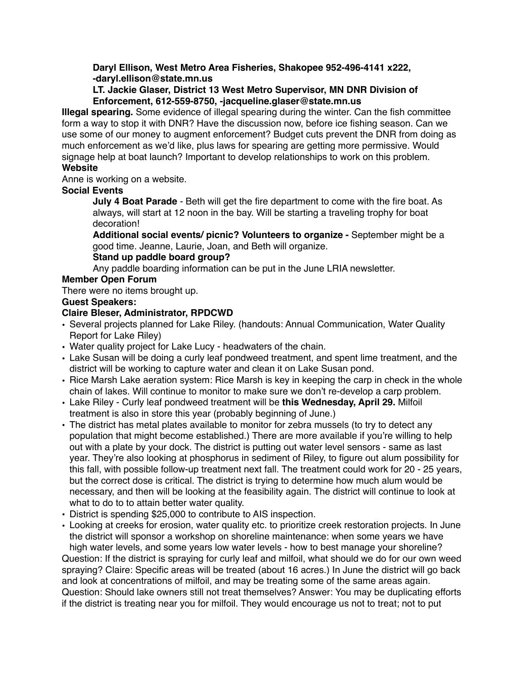**Daryl Ellison, West Metro Area Fisheries, Shakopee 952-496-4141 x222, -daryl.ellison@state.mn.us**

## **LT. Jackie Glaser, District 13 West Metro Supervisor, MN DNR Division of Enforcement, 612-559-8750, -jacqueline.glaser@state.mn.us**

**Illegal spearing.** Some evidence of illegal spearing during the winter. Can the fish committee form a way to stop it with DNR? Have the discussion now, before ice fishing season. Can we use some of our money to augment enforcement? Budget cuts prevent the DNR from doing as much enforcement as we'd like, plus laws for spearing are getting more permissive. Would signage help at boat launch? Important to develop relationships to work on this problem. **Website**

Anne is working on a website.

## **Social Events**

**July 4 Boat Parade** - Beth will get the fire department to come with the fire boat. As always, will start at 12 noon in the bay. Will be starting a traveling trophy for boat decoration!

**Additional social events/ picnic? Volunteers to organize -** September might be a good time. Jeanne, Laurie, Joan, and Beth will organize.

### **Stand up paddle board group?**

Any paddle boarding information can be put in the June LRIA newsletter.

## **Member Open Forum**

There were no items brought up.

## **Guest Speakers:**

## **Claire Bleser, Administrator, RPDCWD**

- Several projects planned for Lake Riley. (handouts: Annual Communication, Water Quality Report for Lake Riley)
- Water quality project for Lake Lucy headwaters of the chain.
- Lake Susan will be doing a curly leaf pondweed treatment, and spent lime treatment, and the district will be working to capture water and clean it on Lake Susan pond.
- Rice Marsh Lake aeration system: Rice Marsh is key in keeping the carp in check in the whole chain of lakes. Will continue to monitor to make sure we don't re-develop a carp problem.
- Lake Riley Curly leaf pondweed treatment will be **this Wednesday, April 29.** Milfoil treatment is also in store this year (probably beginning of June.)
- The district has metal plates available to monitor for zebra mussels (to try to detect any population that might become established.) There are more available if you're willing to help out with a plate by your dock. The district is putting out water level sensors - same as last year. They're also looking at phosphorus in sediment of Riley, to figure out alum possibility for this fall, with possible follow-up treatment next fall. The treatment could work for 20 - 25 years, but the correct dose is critical. The district is trying to determine how much alum would be necessary, and then will be looking at the feasibility again. The district will continue to look at what to do to to attain better water quality.
- District is spending \$25,000 to contribute to AIS inspection.
- Looking at creeks for erosion, water quality etc. to prioritize creek restoration projects. In June the district will sponsor a workshop on shoreline maintenance: when some years we have high water levels, and some years low water levels - how to best manage your shoreline?

Question: If the district is spraying for curly leaf and milfoil, what should we do for our own weed spraying? Claire: Specific areas will be treated (about 16 acres.) In June the district will go back and look at concentrations of milfoil, and may be treating some of the same areas again. Question: Should lake owners still not treat themselves? Answer: You may be duplicating efforts if the district is treating near you for milfoil. They would encourage us not to treat; not to put